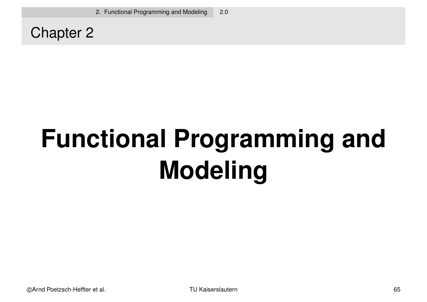Chapter 2

# **Functional Programming and Modeling**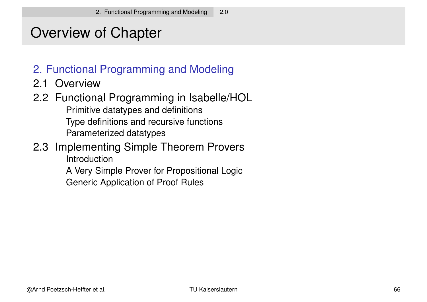# Overview of Chapter

#### 2. Functional Programming and Modeling

2.1 Overview

#### 2.2 Functional Programming in Isabelle/HOL Primitive datatypes and definitions Type definitions and recursive functions Parameterized datatypes

#### 2.3 Implementing Simple Theorem Provers **Introduction**

A Very Simple Prover for Propositional Logic Generic Application of Proof Rules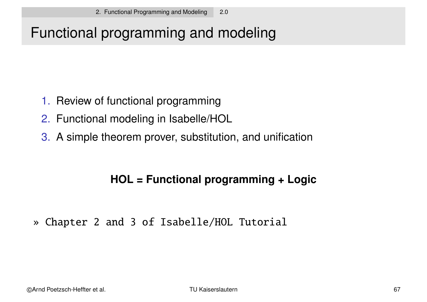# Functional programming and modeling

- 1. Review of functional programming
- 2. Functional modeling in Isabelle/HOL
- 3. A simple theorem prover, substitution, and unification

#### **HOL = Functional programming + Logic**

» Chapter 2 and 3 of Isabelle/HOL Tutorial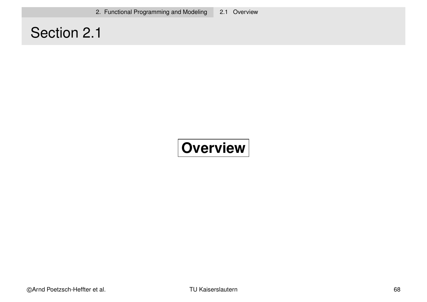# Section 2.1

# **Overview**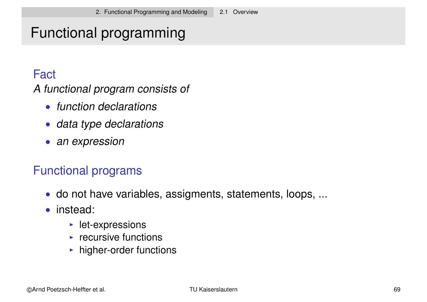# Functional programming

#### **Fact**

A functional program consists of

- function declarations
- data type declarations
- an expression

#### Functional programs

- do not have variables, assigments, statements, loops, ...
- instead:
	- $\blacktriangleright$  let-expressions
	- $\triangleright$  recursive functions
	- $\blacktriangleright$  higher-order functions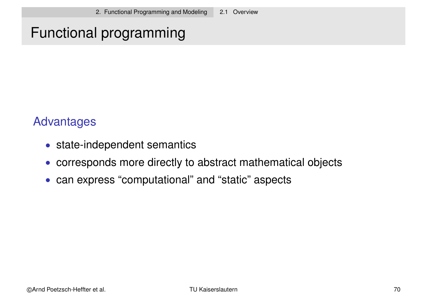# Functional programming

#### Advantages

- state-independent semantics
- corresponds more directly to abstract mathematical objects
- can express "computational" and "static" aspects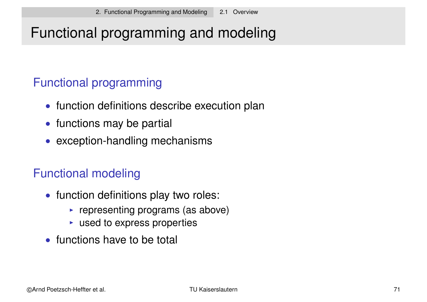# Functional programming and modeling

#### Functional programming

- function definitions describe execution plan
- functions may be partial
- exception-handling mechanisms

#### Functional modeling

- function definitions play two roles:
	- $\triangleright$  representing programs (as above)
	- $\triangleright$  used to express properties
- functions have to be total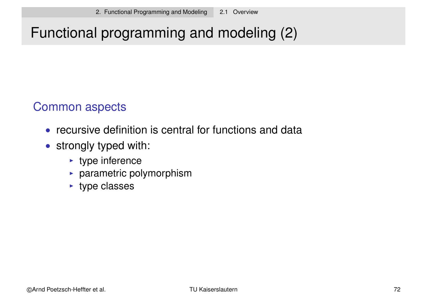# Functional programming and modeling (2)

#### Common aspects

- recursive definition is central for functions and data
- strongly typed with:
	- $\rightarrow$  type inference
	- $\blacktriangleright$  parametric polymorphism
	- $\blacktriangleright$  type classes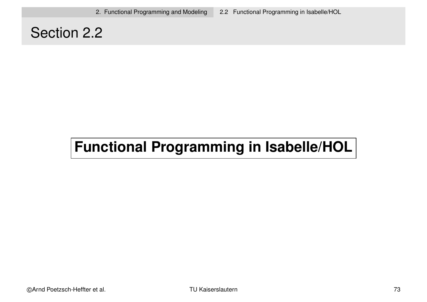## Section 2.2

# **Functional Programming in Isabelle/HOL**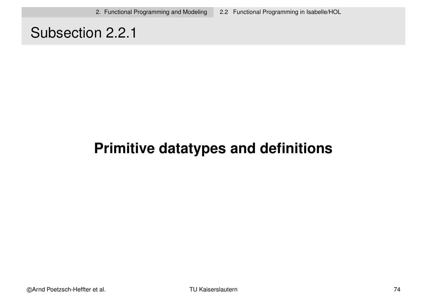## Subsection 2.2.1

# **Primitive datatypes and definitions**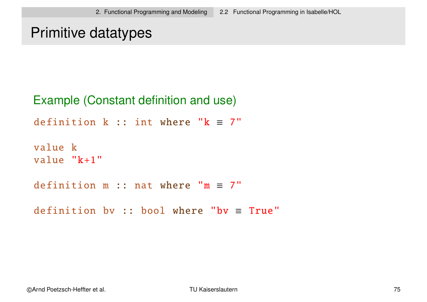```
Primitive datatypes
```

```
Example (Constant definition and use)
definition k :: int where "k = 7"
value k
value "k+1"definition m :: nat where "m \equiv 7"
definition by :: bool where "by \equiv True"
```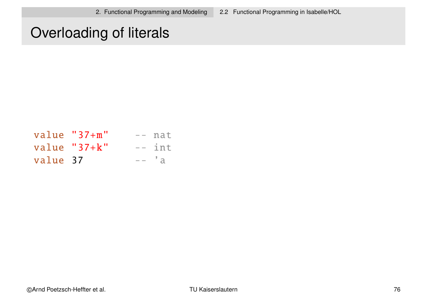## Overloading of literals

|          | value $"37+m"$ | $--$ nat |
|----------|----------------|----------|
|          | value $"37+k"$ | $--$ int |
| value 37 |                | $---'a$  |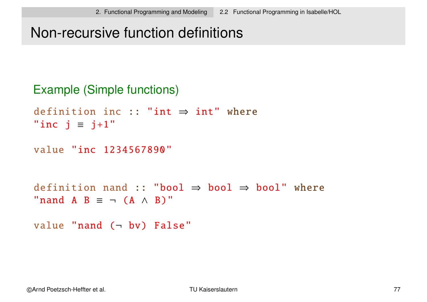## Non-recursive function definitions

```
Example (Simple functions)
definition inc :: "int \Rightarrow int" where
"inc j \equiv j+1"
value "inc 1234567890"
definition nand :: "bool \Rightarrow bool \Rightarrow bool" where
"nand A B \equiv \neg (A \land B)"
value "nand (- bv) False"
```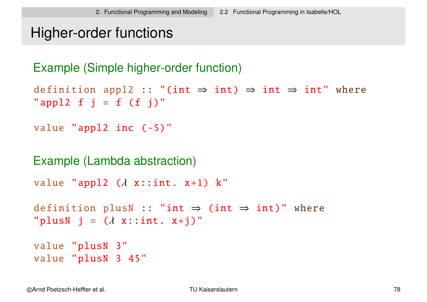```
Higher-order functions
```

```
Example (Simple higher-order function)
```

```
definition appl2 :: "(int \Rightarrow int) \Rightarrow int \Rightarrow int" where
"appl2 f j = f(f')"
```

```
value "appl2 inc (-5)"
```

```
Example (Lambda abstraction)
```

```
value "appl2 (\lambda x::int. x+1) k"
```

```
definition plusN :: "int \Rightarrow (int \Rightarrow int)" where
"plusN j = (\lambda x : int. x+j)"
```

```
value "plusN 3"
value "plusN 3 45"
```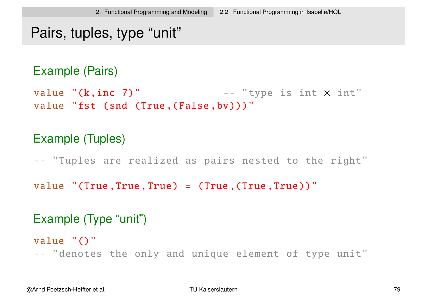#### Pairs, tuples, type "unit"

#### Example (Pairs)

value " $(k, inc 7)$ " -- "type is int  $\times$  int" value "fst (snd (True, (False, bv)))"

#### Example (Tuples)

-- "Tuples are realized as pairs nested to the right"

value "(True,True,True) =  $(True,True)$ "

#### Example (Type "unit")

value "()" -- "denotes the only and unique element of type unit"

©Arnd Poetzsch-Heffter et al. TU Kaiserslautern 79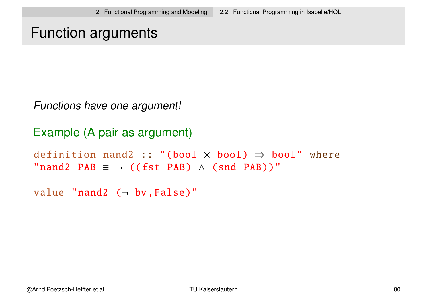#### Function arguments

Functions have one argument!

```
Example (A pair as argument)
definition nand2 :: "(bool \times bool) \Rightarrow bool" where
"nand2 PAB \equiv \neg ((fst PAB) \land (snd PAB))"
```

```
value "nand2 (- bv, False)"
```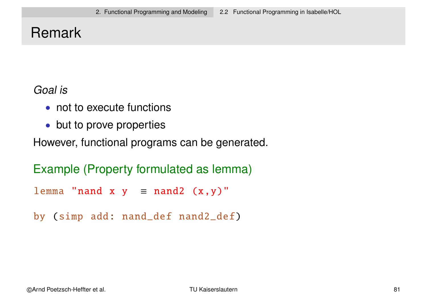# Remark

#### Goal is

- not to execute functions
- but to prove properties

However, functional programs can be generated.

```
Example (Property formulated as lemma)
```

```
lemma "nand x y = nand2 (x, y)"
```

```
by (simp add: nand_def nand2_def)
```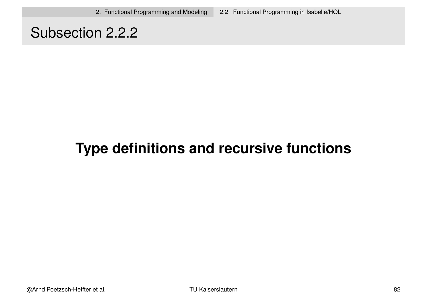## Subsection 2.2.2

# **Type definitions and recursive functions**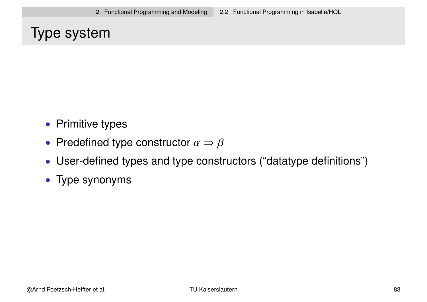# Type system

- Primitive types
- Predefined type constructor  $\alpha \Rightarrow \beta$
- User-defined types and type constructors ("datatype definitions")
- Type synonyms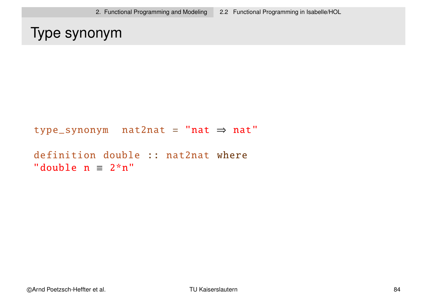# Type synonym

```
type_synonym nat2nat =
"nat ⇒ nat"
```

```
definition double :: nat2nat where
"double n = 2*n"
```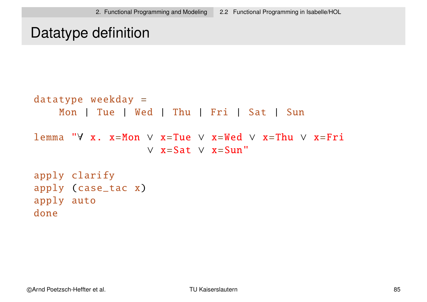## Datatype definition

```
datatype weekday =
    Mon | Tue | Wed | Thu | Fri | Sat | Sun
lemma "∀ x. x=Mon ∨ x=Tue ∨ x=Wed ∨ x=Thu ∨ x=Fri
                  ∨ x=Sat ∨ x=Sun"
apply clarify
apply (case_tac x)
apply auto
done
```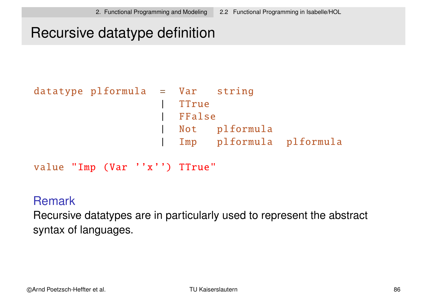## Recursive datatype definition

```
datatype plformula = Var string
                   | TTrue
                    | FFalse
                      | Not plformula
                      | Imp plformula plformula
```
value "Imp (Var ''x'') TTrue"

#### Remark

Recursive datatypes are in particularly used to represent the abstract syntax of languages.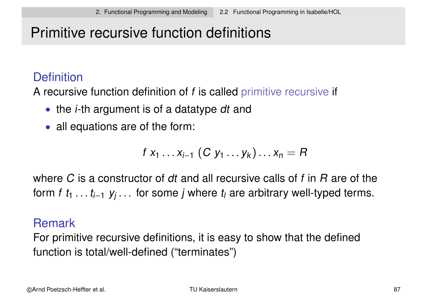# Primitive recursive function definitions

#### **Definition**

A recursive function definition of f is called primitive recursive if

- the *i*-th argument is of a datatype dt and
- all equations are of the form:

$$
f x_1 \ldots x_{i-1} (C y_1 \ldots y_k) \ldots x_n = R
$$

where C is a constructor of dt and all recursive calls of f in R are of the form f  $t_1 \ldots t_{i-1}$  y<sub>j</sub> . . . for some j where  $t_i$  are arbitrary well-typed terms.

#### Remark

For primitive recursive definitions, it is easy to show that the defined function is total/well-defined ("terminates")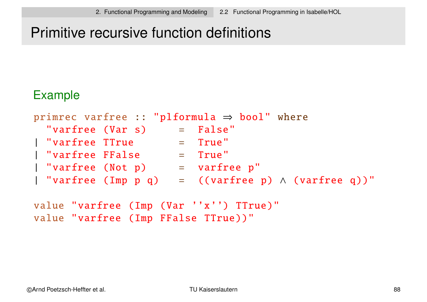# Primitive recursive function definitions

#### Example

| primrec varfree :: "plformula $\Rightarrow$ bool" where |  |                                         |  |  |  |
|---------------------------------------------------------|--|-----------------------------------------|--|--|--|
| "varfree (Var s)                                        |  | $=$ False"                              |  |  |  |
| "varfree TTrue                                          |  | $=$ True"                               |  |  |  |
| "varfree FFalse"                                        |  | $=$ True"                               |  |  |  |
| "varfree (Not p)                                        |  | $=$ varfree $p''$                       |  |  |  |
| "varfree (Imp p q)                                      |  | $=$ ((varfree p) $\wedge$ (varfree q))" |  |  |  |

value "varfree (Imp (Var ''x'') TTrue)" value "varfree (Imp FFalse TTrue))"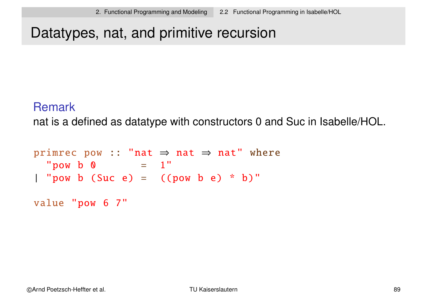## Datatypes, nat, and primitive recursion

#### **Remark**

nat is a defined as datatype with constructors 0 and Suc in Isabelle/HOL.

```
primrec pow :: "nat \Rightarrow nat \Rightarrow nat" where
  "pow b \theta = 1"
| "pow b (Suc e) = ((pow b e) * b)"
```
value "pow 6 7"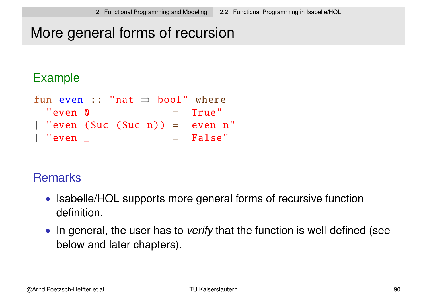# More general forms of recursion

#### Example

```
fun even :: "nat \Rightarrow bool" where
  "even 0 = True"
| "even (Suc (Suc n)) = even n"
 \mathsf{``even \_} \qquad \qquad = \qquad \mathsf{False \, ''}
```
#### **Remarks**

- Isabelle/HOL supports more general forms of recursive function definition.
- In general, the user has to verify that the function is well-defined (see below and later chapters).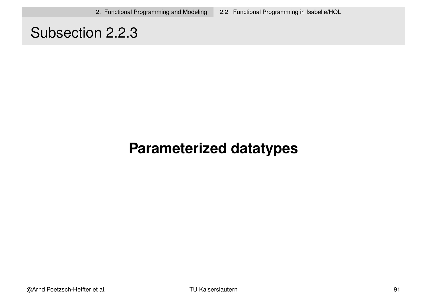## Subsection 2.2.3

# **Parameterized datatypes**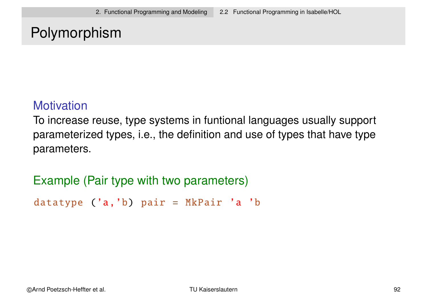## Polymorphism

#### **Motivation**

To increase reuse, type systems in funtional languages usually support parameterized types, i.e., the definition and use of types that have type parameters.

Example (Pair type with two parameters)

datatype ('a, 'b) pair = MkPair 'a 'b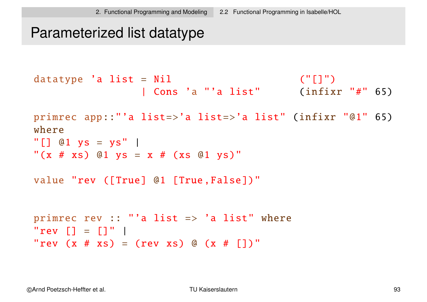#### Parameterized list datatype

```
datatype 'a list = Nil ("[]")
                | Cons 'a "'a list" (infixr "#" 65)
primrec app::"'a list=>'a list=>'a list" (infixr "@1" 65)
where
"[] @1 ys = ys" |
"(x # xs) @1 ys = x # (xs @1 ys)"
value "rev ([True] @1 [True ,False])"
primrec rev :: "'a list \Rightarrow 'a list" where
"rev [] = []""rev (x # xs) = (rev xs) @ (x # [1)"
```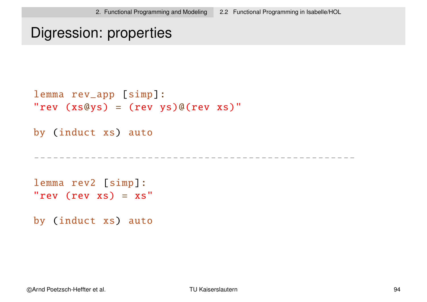#### Digression: properties

```
lemma rev_app [simp]:
"rev (xs@ys) = (revys)@(revxs)'
```
by (induct xs) auto

---------------------------------------------------

lemma rev2 [simp]: "rev  $(rev xs) = xs"$ 

by (induct xs) auto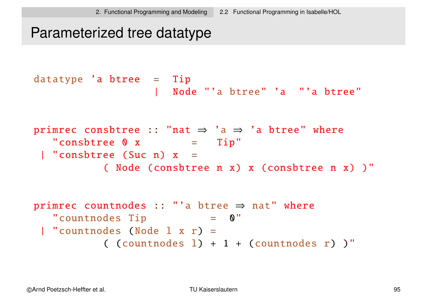## Parameterized tree datatype

```
datatype 'a btree = Tip
                    | Node "'a btree" 'a "'a btree"
primrec consbtree :: "nat \Rightarrow 'a \Rightarrow 'a btree" where
  "consbtree 0 x = Tip"
 | "consbtree (Suc n) x =
           ( Node (consbtree n x) x (consbtree n x) )"
primrec countnodes :: "'a btree \Rightarrow nat" where
   "countnodes Tip = 0"
 | "countnodes (Node l x r) =
           ( (countnodes l) + 1 + (countnodes r) )"
```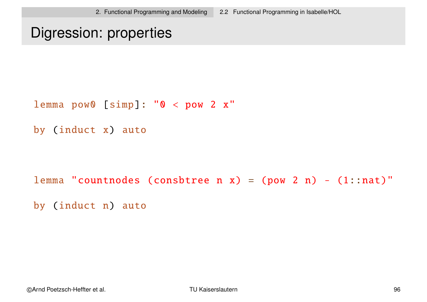## Digression: properties

lemma pow0 [simp]: "0 < pow 2 x"

```
by (induct x) auto
```
lemma "countnodes (consbtree n x) = (pow 2 n) -  $(1:nat)$ " by (induct n) auto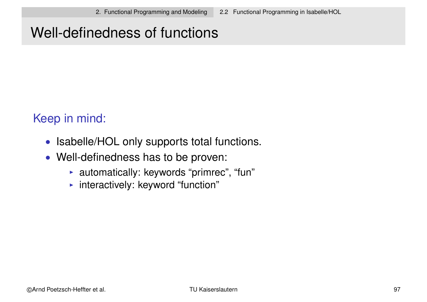# Well-definedness of functions

#### Keep in mind:

- Isabelle/HOL only supports total functions.
- Well-definedness has to be proven:
	- $\blacktriangleright$  automatically: keywords "primrec", "fun"
	- $\blacktriangleright$  interactively: keyword "function"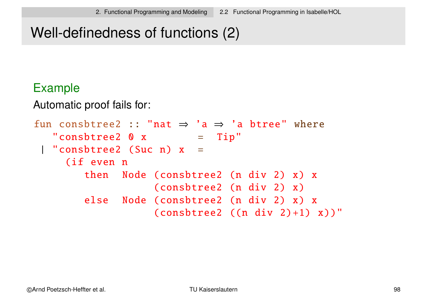# Well-definedness of functions (2)

#### Example

Automatic proof fails for:

```
fun consbtree2 :: "nat \Rightarrow 'a \Rightarrow 'a btree" where
   "consbtree2 0 x = Tip"| "consbtree2 (Suc n) x =(if even n
        then Node (consbtree2 (n div 2) x) x
                   (consbtree2 (n div 2) x)
        else Node (consbtree2 (n div 2) x) x
                   (consbitree2 ((n div 2)+1) x))"
```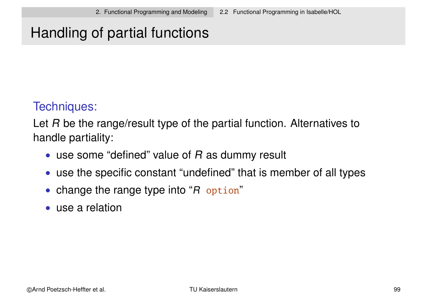# Handling of partial functions

#### Techniques:

Let R be the range/result type of the partial function. Alternatives to handle partiality:

- use some "defined" value of  $R$  as dummy result
- use the specific constant "undefined" that is member of all types
- change the range type into "R option"
- use a relation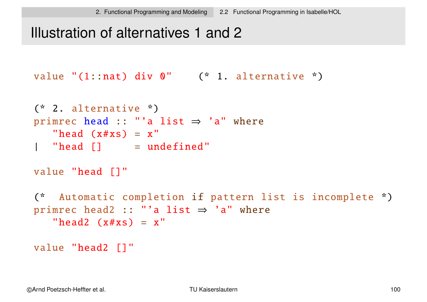## Illustration of alternatives 1 and 2

```
value "(1::nat) div 0" (* 1. alternative *)
```

```
(* 2. alternative *)
primrec head :: "'a list \Rightarrow 'a" where
  "head (x \# xs) = x"
| "head |] = undefined"
```

```
value "head []"
```

```
(* Automatic completion if pattern list is incomplete *)
primrec head2 :: "'a list \Rightarrow 'a" where
   "head2 (x \# xs) = x"
```

```
value "head2 []"
```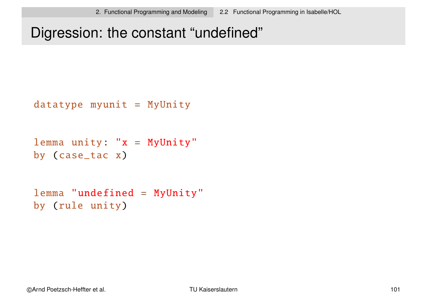## Digression: the constant "undefined"

```
datatype myunit = MyUnity
```

```
lemma unity: "x = MyUnity"
by (case_tac x)
```

```
lemma "undefined = MyUnity"
by (rule unity)
```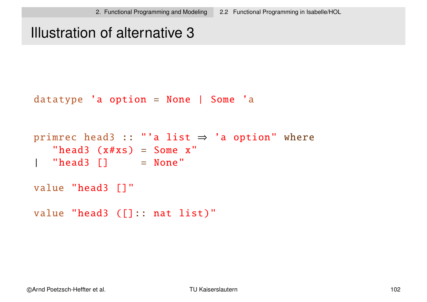## Illustration of alternative 3

```
datatype 'a option = None | Some 'a
```

```
primrec head3 :: "'a list \Rightarrow 'a option" where
   "head3 (x \# xs) = Some x"| "head3 |] = None"
value "head3 []"
value "head3 ([]:: nat list)"
```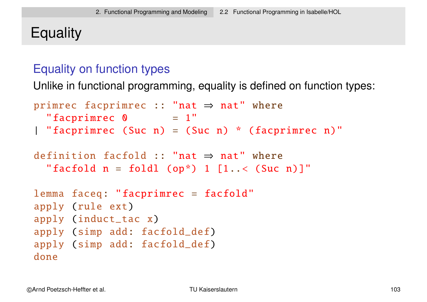# **Equality**

#### Equality on function types

Unlike in functional programming, equality is defined on function types:

```
primrec facprimrec :: "nat \Rightarrow nat" where
  "facprimrec \theta = 1"
| "facprimrec (Suc n) = (Suc n) * (facprimrec n)"
definition facfold :: "nat ⇒ nat" where
  "facfold n = foldl (op*) 1 [1 \cdot \cdot \cdot (Suc n)]"
lemma faceq: "facprimrec = facfold"
apply (rule ext)
apply (induct_tac x)
apply (simp add: facfold_def)
apply (simp add: facfold_def)
done
```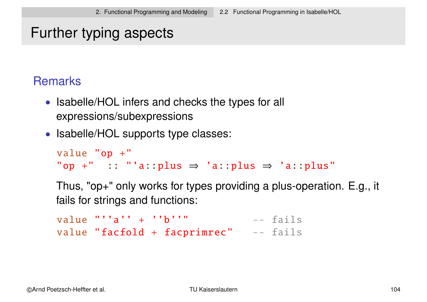## Further typing aspects

#### Remarks

- Isabelle/HOL infers and checks the types for all expressions/subexpressions
- Isabelle/HOL supports type classes:

```
value "op +"
"op +" :: "'a::plus \Rightarrow 'a::plus \Rightarrow 'a::plus"
```
Thus, "op+" only works for types providing a plus-operation. E.g., it fails for strings and functions:

value  $''''a'' + ''b''''$  -- fails value "facfold + facprimrec" -- fails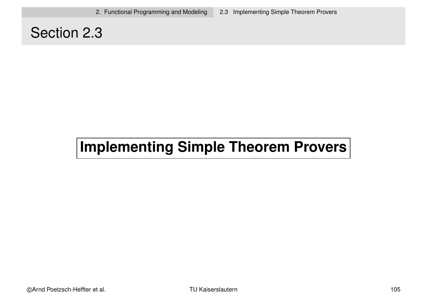## Section 2.3

# **Implementing Simple Theorem Provers**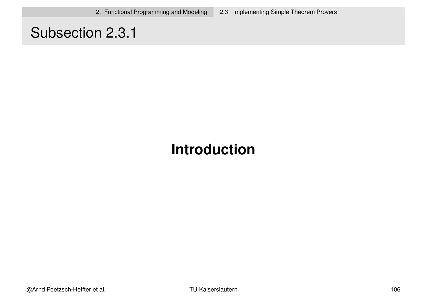## Subsection 2.3.1

# **Introduction**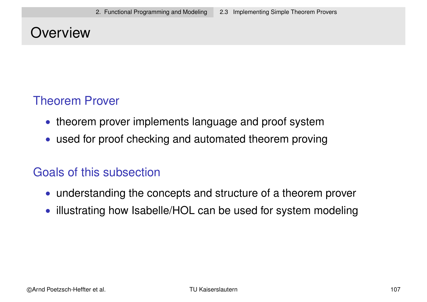## **Overview**

#### Theorem Prover

- theorem prover implements language and proof system
- used for proof checking and automated theorem proving

#### Goals of this subsection

- understanding the concepts and structure of a theorem prover
- illustrating how Isabelle/HOL can be used for system modeling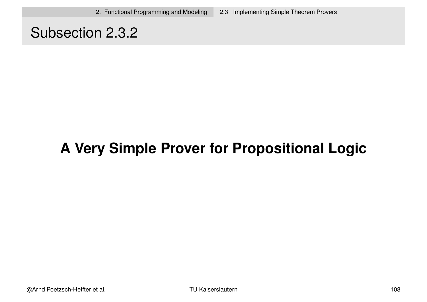## Subsection 2.3.2

# **A Very Simple Prover for Propositional Logic**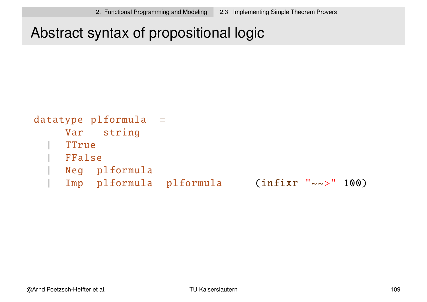Abstract syntax of propositional logic

```
datatype plformula =
    Var string
    | TTrue
   | FFalse
    | Neg plformula
    | Imp plformula plformula (infixr "~~>" 100)
```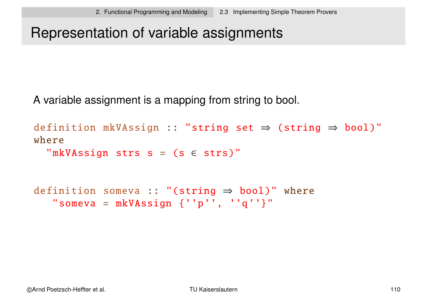# Representation of variable assignments

A variable assignment is a mapping from string to bool.

```
definition mkVAssign :: "string set ⇒ (string ⇒ bool)"
where
  "mkVAssign strs s = (s \in strs)"
definition someva :: "(string \Rightarrow bool)" where
   "someva = mkVASSign {''p'', ''q''}"
```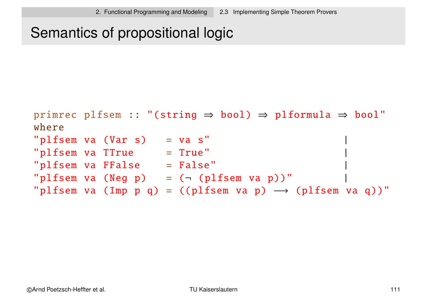## Semantics of propositional logic

```
primrec plfsem :: "(string \Rightarrow bool) \Rightarrow plformula \Rightarrow bool"
where
"plfsem va (Var s) = va s"
"plfsem va TTrue = True"
"p1fsem va FFalse = False""plfsem va (Neg p) = (\neg (plfsem va p))"
"plfsem va (Imp p q) = ((plfsem va p) \longrightarrow (plfsem va q))"
```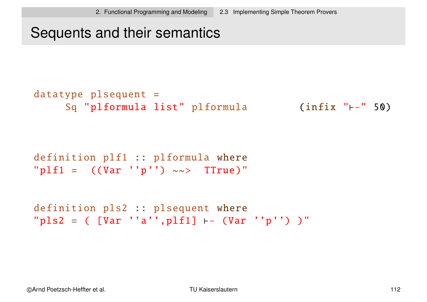#### Sequents and their semantics

```
datatype plsequent =Sq "plformula list" plformula (infix "\vdash-" 50)
```

```
definition plf1 :: plformula where
"p1f1 = ((Var 'p'') \sim \rightarrow \text{True})"
```

```
definition pls2 :: plsequent where
"pls2 = ([Var 'a';p1f1] \vdash (War 'p') )"
```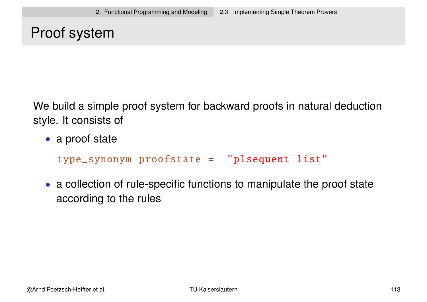# Proof system

We build a simple proof system for backward proofs in natural deduction style. It consists of

• a proof state

type\_synonym proofstate = "plsequent list"

• a collection of rule-specific functions to manipulate the proof state according to the rules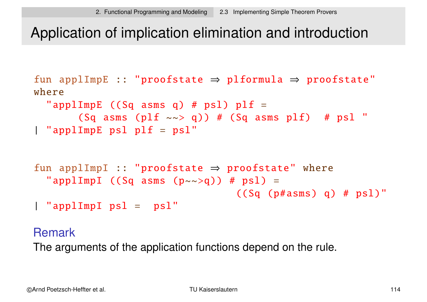## Application of implication elimination and introduction

```
fun applImpE :: "proofstate \Rightarrow plformula \Rightarrow proofstate"
where
  "applImpE ((Sq \text{ asms } q) # psl) pH =(Sq asms (plf \sim > q)) # (Sq asms plf) # psl "
| "applImpE psl plf = psl"
fun applImpI :: "proofstate \Rightarrow proofstate" where
  "applImpI ((Sq asms (p \sim \gg q)) # psl) =
                                     ((Sq (p#asmus) q) # ps])"| "applImpI psl = psl"
```
#### Remark

The arguments of the application functions depend on the rule.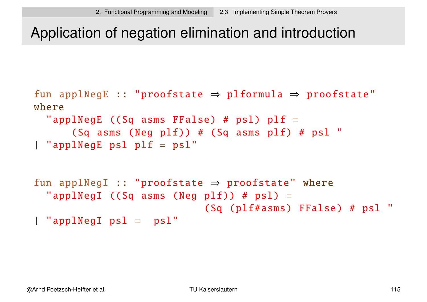## Application of negation elimination and introduction

```
fun applNegE :: "proofstate \Rightarrow plformula \Rightarrow proofstate"
where
  "applNegE ((Sq asms FFalse) # ps1) p1f =(Sq asms (Neg plf)) # (Sq asms plf) # psl "
| "applNegE psl plf = psl"
```

```
fun applNegI :: "proofstate \Rightarrow proofstate" where
  "applNegI ((Sq asms (Neg plf)) # ps1) =
                             (Sq (plf#asms) FFalse) # psl "
| "applNegI psl = psl"
```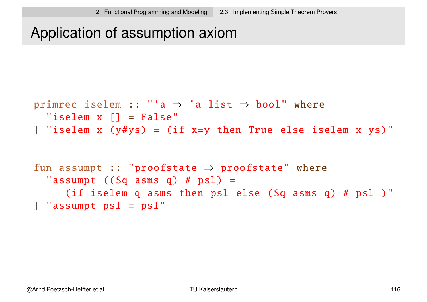## Application of assumption axiom

```
primrec iselem :: "'a \Rightarrow 'a list \Rightarrow bool" where
  "iselem x [] = False"
| "iselem x (y \# y s) = (if x=y) then True else iselem x ys)'
```

```
fun assumpt :: "proofstate \Rightarrow proofstate" where
  "assumpt ((Sq asms q) # psl) =(if iselem q asms then psl else (Sq asms q) # psl )"
| "assumpt psl = psl"
```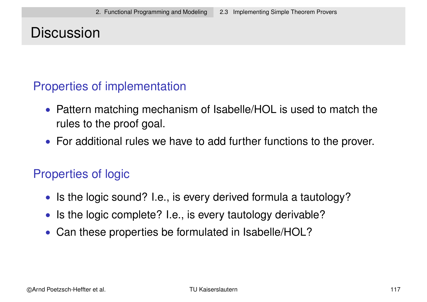## **Discussion**

#### Properties of implementation

- Pattern matching mechanism of Isabelle/HOL is used to match the rules to the proof goal.
- For additional rules we have to add further functions to the prover.

#### Properties of logic

- Is the logic sound? I.e., is every derived formula a tautology?
- Is the logic complete? I.e., is every tautology derivable?
- Can these properties be formulated in Isabelle/HOL?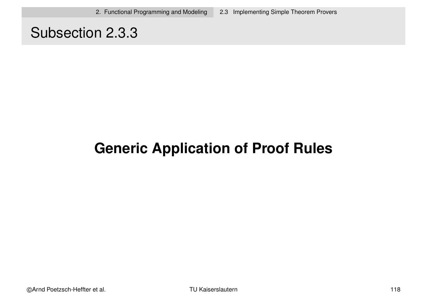## Subsection 2.3.3

# **Generic Application of Proof Rules**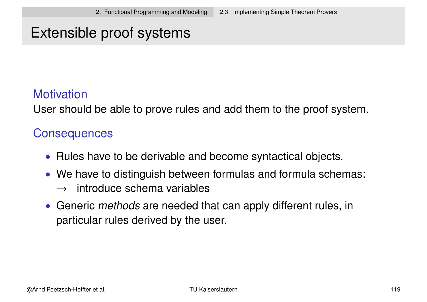## Extensible proof systems

#### **Motivation**

User should be able to prove rules and add them to the proof system.

#### **Consequences**

- Rules have to be derivable and become syntactical objects.
- We have to distinguish between formulas and formula schemas:  $\rightarrow$  introduce schema variables
- Generic *methods* are needed that can apply different rules, in particular rules derived by the user.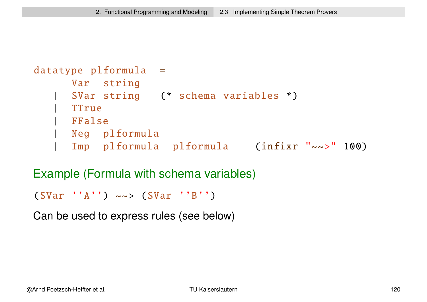```
datatype plformula =
     Var string
     | SVar string (* schema variables *)
    | TTrue
   | FFalse
    | Neg plformula
     | Imp plformula plformula (infixr "~~>" 100)
```
Example (Formula with schema variables)

```
(SVar 'A') \sim > (SVar 'B')
```
Can be used to express rules (see below)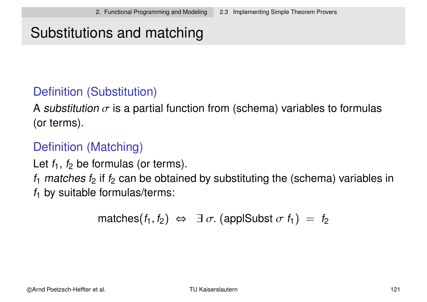# Substitutions and matching

#### Definition (Substitution)

A substitution  $\sigma$  is a partial function from (schema) variables to formulas (or terms).

#### Definition (Matching)

Let  $f_1$ ,  $f_2$  be formulas (or terms).

 $f_1$  matches  $f_2$  if  $f_2$  can be obtained by substituting the (schema) variables in  $f_1$  by suitable formulas/terms:

matches $(f_1, f_2) \Leftrightarrow \exists \sigma$ . (applSubst  $\sigma f_1$ ) =  $f_2$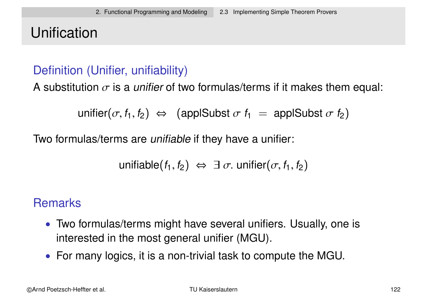# Unification

#### Definition (Unifier, unifiability)

A substitution  $\sigma$  is a *unifier* of two formulas/terms if it makes them equal:

$$
\text{unifier}(\sigma, f_1, f_2) \Leftrightarrow \text{ (applSubst } \sigma f_1 = \text{applSubst } \sigma f_2)
$$

Two formulas/terms are unifiable if they have a unifier:

$$
\text{unifiable}(f_1, f_2) \Leftrightarrow \exists \sigma. \text{unifier}(\sigma, f_1, f_2)
$$

#### **Remarks**

- Two formulas/terms might have several unifiers. Usually, one is interested in the most general unifier (MGU).
- For many logics, it is a non-trivial task to compute the MGU.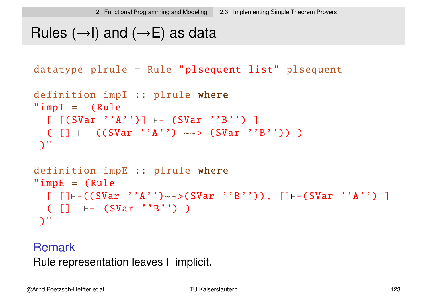# Rules  $(\rightarrow)$  and  $(\rightarrow)$  as data

```
datatype plrule = Rule "plsequent list" plsequent
```

```
definition impI :: plrule where
"impl = (Rule)[ [ (SVar 'A'') ] \vdash (SVar 'B'') ]
  ( [] \vdash ((SVar ''A'') ~~> (SVar ''B'')) )
 )"
definition impE :: plrule where
"impE = (Rule[ [] + - ((SVar ''A'')~~>(SVar ''B'')), [] + - (SVar ''A'') ]
  \begin{pmatrix} \begin{bmatrix} \end{bmatrix} & \vdots \\ \end{pmatrix} +- (SVar ''B'') )
 )"
```
Remark Rule representation leaves Γ implicit.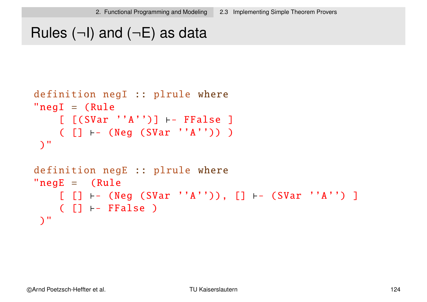# Rules  $(\neg I)$  and  $(\neg E)$  as data

```
definition negI :: plrule where
"negI = (Rule[ [ (SVar 'A'')] \vdash FFalse ]
    ( [] \vdash (Neg (SVar ''A'')) )
 )"
definition negE :: plrule where
"neqE = (Rule)[ [] \vdash (Neg (SVar ''A'')), [] \vdash (SVar ''A'') ]
   ([ ] \vdash FFalse )
)"
```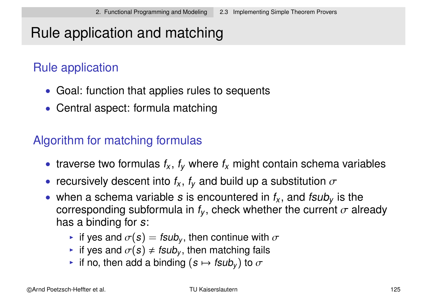# Rule application and matching

## Rule application

- Goal: function that applies rules to sequents
- Central aspect: formula matching

#### Algorithm for matching formulas

- traverse two formulas  $f_x$ ,  $f_y$  where  $f_x$  might contain schema variables
- recursively descent into  $f_x$ ,  $f_y$  and build up a substitution  $\sigma$
- when a schema variable s is encountered in  $f_x$ , and  $f_{\text{S}}$  is the corresponding subformula in  $f_\mathsf{y},$  check whether the current  $\sigma$  already has a binding for s:
	- If yes and  $\sigma(s) = f \sin b_y$ , then continue with  $\sigma$
	- if yes and  $\sigma(s) \neq f \text{sub}_v$ , then matching fails
	- $\blacktriangleright$  if no, then add a binding  $(s\mapsto \mathit{fsub}_y)$  to  $\sigma$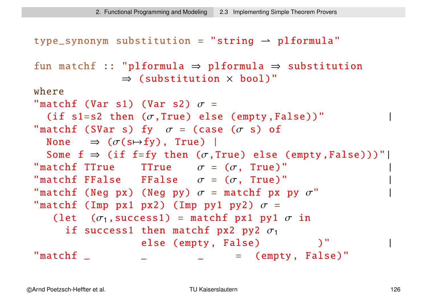```
type\_symonym substitution = "string \rightarrow plformula"
fun matchf :: "plformula \Rightarrow plformula \Rightarrow substitution
                 \Rightarrow (substitution \times bool)"
where
"matchf (Var s1) (Var s2) \sigma =
  (if s1=s2 then (\sigma, True) else (empty, False))"
"matchf (SVar s) fy \sigma = (case (\sigma s) of
  None \Rightarrow (\sigma(s\mapstofy), True) |
  Some f \Rightarrow (if f=fy then (\sigma, True) else (empty, False)))''"matchf TTrue TTrue \sigma = (\sigma, \text{ True})"
"matchf FFalse FFalse \sigma = (\sigma, \text{ True})"
"matchf (Neg px) (Neg py) \sigma = matchf px py \sigma"
"matchf (Imp px1 px2) (Imp py1 py2) \sigma =
    (let (\sigma_1, success1) = matchf px1 py1 \sigma in
      if success1 then matchf px2 py2 \sigma_1else (empty, False)
\texttt{matchf} \begin{array}{ccc} \texttt{matchf} \end{array}
```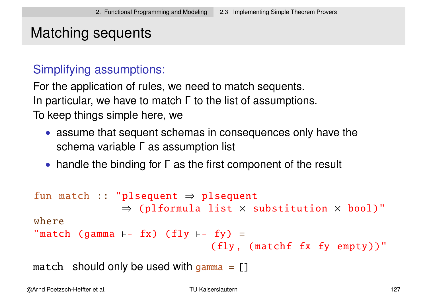## Matching sequents

#### Simplifying assumptions:

For the application of rules, we need to match sequents. In particular, we have to match Γ to the list of assumptions. To keep things simple here, we

- assume that sequent schemas in consequences only have the schema variable Γ as assumption list
- handle the binding for Γ as the first component of the result

```
fun match :: "plsequent \Rightarrow plsequent
                 \Rightarrow (plformula list \times substitution \times bool)"
where
"match (gamma \vdash fx) (fly \vdash fy) =
                                    (fly, (matchf fx fy empty))"
```
match should only be used with gamma  $= [$ ]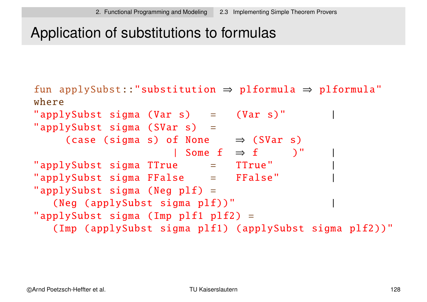## Application of substitutions to formulas

```
fun applySubst::"substitution \Rightarrow plformula \Rightarrow plformula"
where
"applySubst sigma (Var s) = (Var s)"
"applySubst sigma (SVar s) =
     (case (sigma s) of None \Rightarrow (SVar s)
                      | Some f \Rightarrow f \qquad )"
"applySubst sigma TTrue = TTrue"
"applySubst sigma FFalse = FFalse" |
"applySubst sigma (Neg p1f) =
   (Neg (applySubst sigma plf))"
"applySubst sigma (Imp p1f1 p1f2) =
   (Imp (applySubst sigma plf1) (applySubst sigma plf2))"
```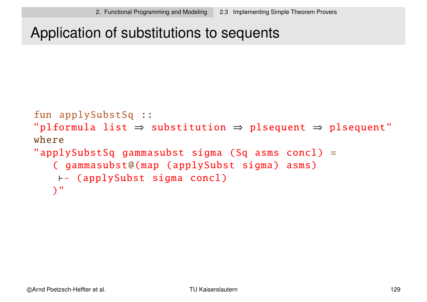#### Application of substitutions to sequents

```
fun applySubstSq ::
"plformula list \Rightarrow substitution \Rightarrow plsequent \Rightarrow plsequent"
where
"applySubstSq gammasubst sigma (Sq asms concl) =
   ( gammasubst@(map (applySubst sigma) asms)
    \vdash (applySubst sigma concl)
   )"
```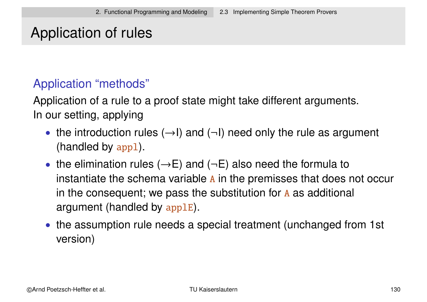# Application of rules

#### Application "methods"

Application of a rule to a proof state might take different arguments. In our setting, applying

- the introduction rules  $(\rightarrow)$  and  $(\neg)$  need only the rule as argument (handled by appl).
- the elimination rules  $(\rightarrow E)$  and  $(\neg E)$  also need the formula to instantiate the schema variable A in the premisses that does not occur in the consequent; we pass the substitution for  $A$  as additional argument (handled by applE).
- the assumption rule needs a special treatment (unchanged from 1st version)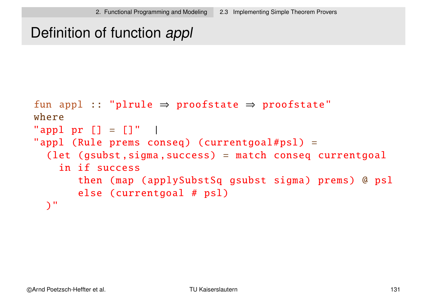# Definition of function appl

```
fun appl :: "plrule \Rightarrow proofstate \Rightarrow proofstate"
where
"appl pr [] = []" |
"appl (Rule prems conseq) (currentgoal#psl) =
  (let (gsubst, sigma, success) = match conseq currentgoal
    in if success
       then (map (applySubstSq gsubst sigma) prems) @ psl
       else (currentgoal # psl)
  )"
```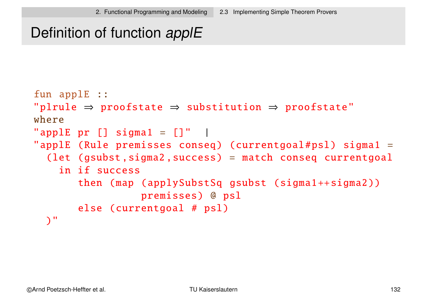# Definition of function applE

```
fun applE ::
"plane \Rightarrow proofsate \Rightarrow substitation \Rightarrow proofsate"where
"applE pr [] sigmal = []" |
"applE (Rule premisses conseq) (currentgoal#psl) sigma1 =
  (let (gsubst ,sigma2 ,success) = match conseq currentgoal
    in if success
       then (map (applySubstSq gsubst (sigma1++sigma2))
                  premisses) @ psl
       else (currentgoal # psl)
  )"
```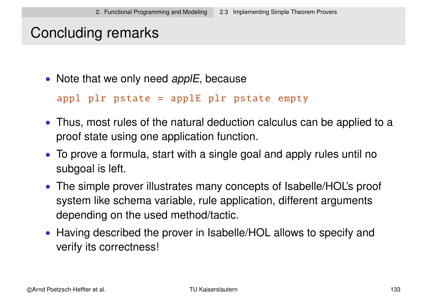## Concluding remarks

• Note that we only need applE, because

```
appl plr pstate = applE plr pstate empty
```
- Thus, most rules of the natural deduction calculus can be applied to a proof state using one application function.
- To prove a formula, start with a single goal and apply rules until no subgoal is left.
- The simple prover illustrates many concepts of Isabelle/HOL's proof system like schema variable, rule application, different arguments depending on the used method/tactic.
- Having described the prover in Isabelle/HOL allows to specify and verify its correctness!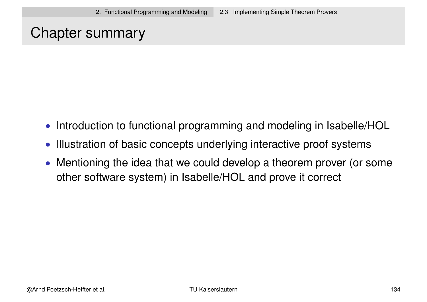## Chapter summary

- Introduction to functional programming and modeling in Isabelle/HOL
- Illustration of basic concepts underlying interactive proof systems
- Mentioning the idea that we could develop a theorem prover (or some other software system) in Isabelle/HOL and prove it correct